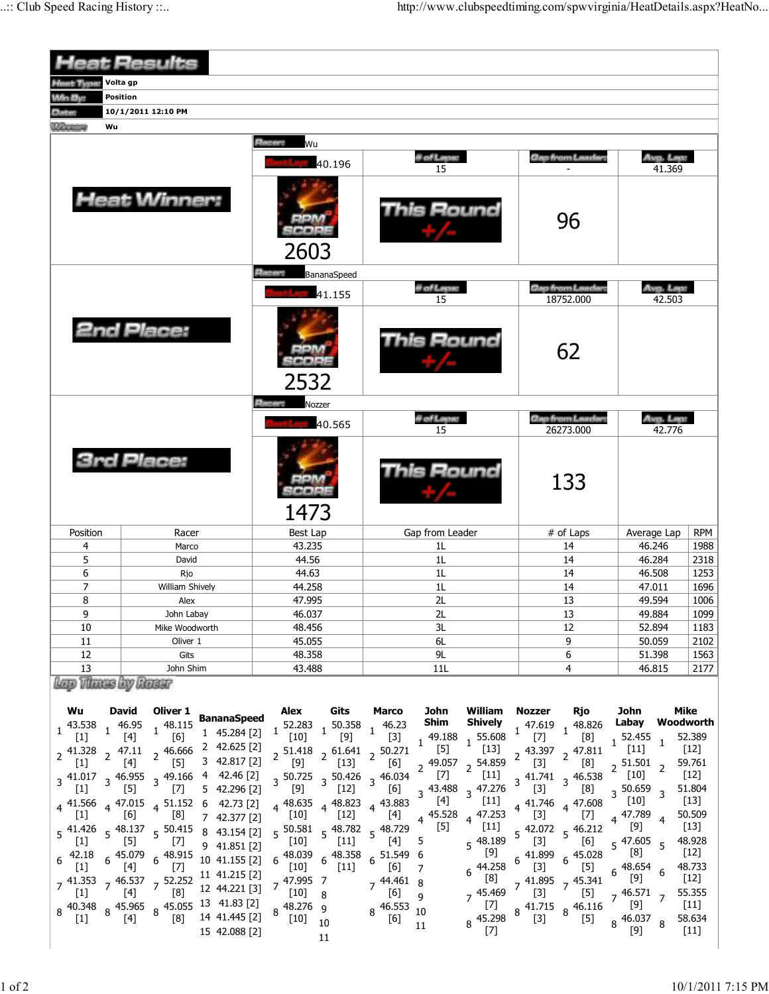| leat Results                                                         |                                |                                                  |                                                                                                          |                        |                  |                                                                                                                                                  |                      |                                                                                                                                                                                                                      |                                   |                                                        |                          |                    |                            |
|----------------------------------------------------------------------|--------------------------------|--------------------------------------------------|----------------------------------------------------------------------------------------------------------|------------------------|------------------|--------------------------------------------------------------------------------------------------------------------------------------------------|----------------------|----------------------------------------------------------------------------------------------------------------------------------------------------------------------------------------------------------------------|-----------------------------------|--------------------------------------------------------|--------------------------|--------------------|----------------------------|
| Volta gp<br><b><i>Inst. Type:</i></b>                                |                                |                                                  |                                                                                                          |                        |                  |                                                                                                                                                  |                      |                                                                                                                                                                                                                      |                                   |                                                        |                          |                    |                            |
| Win By:                                                              | <b>Position</b>                |                                                  |                                                                                                          |                        |                  |                                                                                                                                                  |                      |                                                                                                                                                                                                                      |                                   |                                                        |                          |                    |                            |
| <b>ALLAWA</b>                                                        | 10/1/2011 12:10 PM             |                                                  |                                                                                                          |                        |                  |                                                                                                                                                  |                      |                                                                                                                                                                                                                      |                                   |                                                        |                          |                    |                            |
| <b><i><u>CONTRACTORY</u></i></b><br>Wu                               |                                |                                                  |                                                                                                          |                        |                  |                                                                                                                                                  |                      |                                                                                                                                                                                                                      |                                   |                                                        |                          |                    |                            |
| <b>Heat Winner:</b>                                                  |                                |                                                  |                                                                                                          | <b>Elector</b><br>Wu   |                  |                                                                                                                                                  |                      |                                                                                                                                                                                                                      |                                   |                                                        |                          |                    |                            |
|                                                                      |                                |                                                  |                                                                                                          |                        | 40.196           | il of Lepu:<br>15                                                                                                                                |                      |                                                                                                                                                                                                                      | Gap from Landan                   |                                                        | Avg. Lep.<br>41.369      |                    |                            |
|                                                                      |                                |                                                  |                                                                                                          | 2603                   |                  | This Round                                                                                                                                       |                      | 96                                                                                                                                                                                                                   |                                   |                                                        |                          |                    |                            |
|                                                                      |                                |                                                  |                                                                                                          | <b>Elizabeth</b>       | BananaSpeed      |                                                                                                                                                  |                      |                                                                                                                                                                                                                      |                                   |                                                        |                          |                    |                            |
|                                                                      |                                |                                                  |                                                                                                          | 41.155                 |                  | il of Lepus                                                                                                                                      |                      |                                                                                                                                                                                                                      | Gap from Landar.<br>18752.000     |                                                        | Ang. Lep:<br>42.503      |                    |                            |
|                                                                      |                                | 2nd Place:                                       |                                                                                                          | 2532                   |                  |                                                                                                                                                  | 15<br>This Round     |                                                                                                                                                                                                                      |                                   | 62                                                     |                          |                    |                            |
|                                                                      |                                |                                                  |                                                                                                          | <b>Silviano</b>        | Nozzer           |                                                                                                                                                  |                      |                                                                                                                                                                                                                      |                                   |                                                        |                          |                    |                            |
|                                                                      |                                |                                                  |                                                                                                          |                        | 40.565           | # of Laps:<br>15                                                                                                                                 |                      |                                                                                                                                                                                                                      | Gap from Landar.<br>26273.000     |                                                        | Arg. Lep.<br>42.776      |                    |                            |
| <b>3rd Place:</b>                                                    |                                |                                                  |                                                                                                          | 1473                   |                  | This Round                                                                                                                                       |                      | 133                                                                                                                                                                                                                  |                                   |                                                        |                          |                    |                            |
|                                                                      |                                |                                                  |                                                                                                          |                        |                  |                                                                                                                                                  |                      |                                                                                                                                                                                                                      |                                   |                                                        | Average Lap              |                    |                            |
| Position<br>4                                                        |                                | Racer<br>Marco                                   |                                                                                                          | Best Lap<br>43.235     |                  | Gap from Leader<br>1 <sub>L</sub>                                                                                                                |                      | # of Laps<br>14                                                                                                                                                                                                      |                                   |                                                        | 46.246                   | <b>RPM</b><br>1988 |                            |
| 5                                                                    |                                | David                                            |                                                                                                          | 44.56                  |                  | 1L                                                                                                                                               |                      | 14                                                                                                                                                                                                                   |                                   |                                                        | 46.284                   | 2318               |                            |
| 6                                                                    |                                | Rjo                                              |                                                                                                          | 44.63                  |                  | 1 <sub>L</sub>                                                                                                                                   |                      | 14                                                                                                                                                                                                                   |                                   |                                                        | 46.508                   | 1253               |                            |
| 7                                                                    |                                | William Shively                                  |                                                                                                          | 44.258                 |                  | 1L                                                                                                                                               |                      | 14                                                                                                                                                                                                                   |                                   | 47.011                                                 |                          | 1696               |                            |
| 8                                                                    |                                | Alex                                             |                                                                                                          | 47.995                 |                  | 2L                                                                                                                                               |                      | 13                                                                                                                                                                                                                   |                                   |                                                        | 49.594                   | 1006               |                            |
| 9<br>10                                                              |                                | John Labay                                       |                                                                                                          | 46.037<br>48.456       |                  | 2L<br>3L                                                                                                                                         |                      | 13<br>12                                                                                                                                                                                                             |                                   |                                                        | 49.884<br>52.894         | 1099<br>1183       |                            |
| 11                                                                   | Mike Woodworth<br>Oliver 1     |                                                  | 45.055                                                                                                   |                        | 6L               |                                                                                                                                                  |                      | 9                                                                                                                                                                                                                    |                                   |                                                        | 50.059                   | 2102               |                            |
| 12                                                                   | Gits                           |                                                  | 48.358                                                                                                   |                        | 9L               |                                                                                                                                                  |                      | 6                                                                                                                                                                                                                    |                                   |                                                        | 51.398                   | 1563               |                            |
| 13                                                                   |                                | John Shim                                        |                                                                                                          | 43.488                 |                  | 11L                                                                                                                                              |                      | 4                                                                                                                                                                                                                    |                                   | 46.815                                                 |                          | 2177               |                            |
| Lap Vlanse by Rosse<br>Wu                                            | <b>David</b>                   | Oliver 1                                         |                                                                                                          | Alex                   | Gits             | Marco                                                                                                                                            | John                 | William                                                                                                                                                                                                              | Nozzer                            | Rjo                                                    | John                     |                    | <b>Mike</b>                |
| 43.538                                                               | 46.95                          | $1^{48.115}$                                     | <b>BananaSpeed</b><br>1 45.284 [2]                                                                       | 52.283                 | 50.358           | $1 \frac{46.23}{2}$                                                                                                                              | Shim                 | <b>Shively</b>                                                                                                                                                                                                       | 47.619                            | $1^{48.826}$                                           | Labay                    |                    | Woodworth                  |
| $[1]$                                                                | $[4]$                          | [6]                                              | 2 42.625 [2]                                                                                             | $[10]$                 | [9]              | $[3]$                                                                                                                                            | 49.188<br>1<br>$[5]$ | $1^{55.608}$<br>$[13]$                                                                                                                                                                                               | $[7]$ $\ddot{\phantom{1}}$        | [8]                                                    | $1^{52.455}$<br>$[11]$   | 1                  | 52.389<br>$[12]$           |
| $2^{41.328}$ $2^{47.11}$<br>$[1]$                                    | $[4]$                          | 2 46.666<br>[5]                                  | 3 42.817 [2]                                                                                             | $[9]$                  | $[13]$           | $2\begin{array}{cc} 51.418 \\ 2\end{array}$ $2\begin{array}{cc} 61.641 \\ 131 \end{array}$ $2\begin{array}{cc} 50.271 \\ 151 \end{array}$<br>[6] | $2^{49.057}$ 2       | 54.859                                                                                                                                                                                                               | $\begin{bmatrix} 3 \end{bmatrix}$ | 43.397 2 47.811<br>[8]                                 | $2^{51.501}$             |                    | 59.761                     |
| $3\frac{41.017}{101}$ $3\frac{46.955}{101}$ $3\frac{49.166}{100}$    |                                |                                                  | 4 42.46 [2]                                                                                              | $3\,50.725$            | $3\,50.426$      | $3^{46.034}$                                                                                                                                     | $[7]$                | $[11]$                                                                                                                                                                                                               |                                   | $3\frac{41.741}{521}$ 3 $46.538$                       |                          |                    | $[12]$                     |
| $\lfloor 1 \rfloor$                                                  | [5]                            | $\lfloor \ell \rfloor$                           | 5 42.296 [2]                                                                                             | $[9]$                  | $[12]$           | [p]                                                                                                                                              | 3 43.488             | 47.276<br>$\overline{3}$                                                                                                                                                                                             | $[3]$                             | [8]                                                    | 3 50.659                 |                    | 51.804                     |
| $4^{41.566}$                                                         | [6]                            | $4\frac{47.015}{61}$ $4\frac{51.152}{61}$<br>[8] | 42.73 [2]<br>6                                                                                           | $4^{48.635}$<br>$[10]$ | 48.823<br>$[12]$ | 43.883<br>[4]                                                                                                                                    | $[4]$<br>4 45.528    | $[11]$<br>47.253                                                                                                                                                                                                     | $4\frac{41.746}{4}$<br>$[3]$      | 4 47.608<br>$[7]$                                      | $[10]$<br>4 47.789       |                    | $[13]$<br>50.509           |
| $5\frac{41.426}{1.13}$ $5\frac{48.137}{1.13}$ $5\frac{50.415}{1.13}$ |                                |                                                  | 7 42.377 [2]<br>8 43.154 [2]                                                                             |                        |                  | $5\frac{50.581}{100}$ $5\frac{48.782}{100}$ $5\frac{48.729}{100}$                                                                                | $[5]$                | $[11]$                                                                                                                                                                                                               |                                   | $5\frac{42.072}{5}$ 5 $\frac{46.212}{5}$               | [9]                      |                    | $[13]$                     |
| $[1]$                                                                | $[5]$                          | $[7]$                                            | 9 41.851 [2]                                                                                             | [10]                   | $[11]$           | $[4]$                                                                                                                                            | 5                    | $5^{48.189}$                                                                                                                                                                                                         | $[3]$                             | [6]                                                    | 5 47.605                 | 5                  | 48.928                     |
| 42.18                                                                | 6 45.079                       | $6^{48.915}$                                     | 10 41.155 [2]                                                                                            | 48.039                 | 48.358           | $6^{51.549}$ 6                                                                                                                                   |                      | $[9] % \begin{center} \includegraphics[width=\linewidth]{imagesSupplemental/Imetad2D.pdf} \end{center} % \vspace{-1em} \caption{The image shows the number of parameters in the left and right.} \label{fig:limsub}$ | $6\frac{41.899}{2}$               | $6\frac{45.028}{100}$                                  |                          |                    | $[12]$                     |
| $[1]$                                                                | $[4]$                          | $[7]$                                            | 11 41.215 [2]                                                                                            | $[10]$<br>47.995 7     | $[11]$           | [6]<br>$7^{44.461}8$                                                                                                                             | $\overline{7}$       | 44.258<br>[8]                                                                                                                                                                                                        | [3]                               | $[5]$                                                  | $6^{48.654}$<br>[9]      |                    | 48.733<br>$[12]$           |
| $7^{41.353}$ $7^{46.537}$ $7^{52.252}$<br>$\lfloor 1 \rfloor$        | [4]                            | [8]                                              | 12 44.221 [3]                                                                                            | [10]                   | 8                | [6]                                                                                                                                              | $\mathsf{q}$         | 45.469                                                                                                                                                                                                               | $[3]$                             | $7 \frac{41.895}{521}$ 7 $\frac{45.341}{521}$<br>$[5]$ | $7^{46.571}$             |                    | 55.355                     |
| 40.348<br>$[1]$                                                      | $8\frac{45.965}{547}$<br>$[4]$ | [8]                                              | $8\begin{array}{l} 45.055 & 13 & 41.83 \\ 52 & 11 & 11.83 \end{array}$<br>14 41.445 [2]<br>15 42.088 [2] | 48.276 9<br>$[10]$     | 10               | 46.553<br>8<br>[6]                                                                                                                               | 10<br>11             | $[7]$<br>45.298<br>8<br>$[7]$                                                                                                                                                                                        | $8\frac{41.715}{2}$<br>$[3]$      | $8^{46.116}$<br>$[5]$<br>8                             | $[9]$<br>46.037<br>$[9]$ | 8                  | $[11]$<br>58.634<br>$[11]$ |
|                                                                      |                                |                                                  |                                                                                                          |                        | 11               |                                                                                                                                                  |                      |                                                                                                                                                                                                                      |                                   |                                                        |                          |                    |                            |